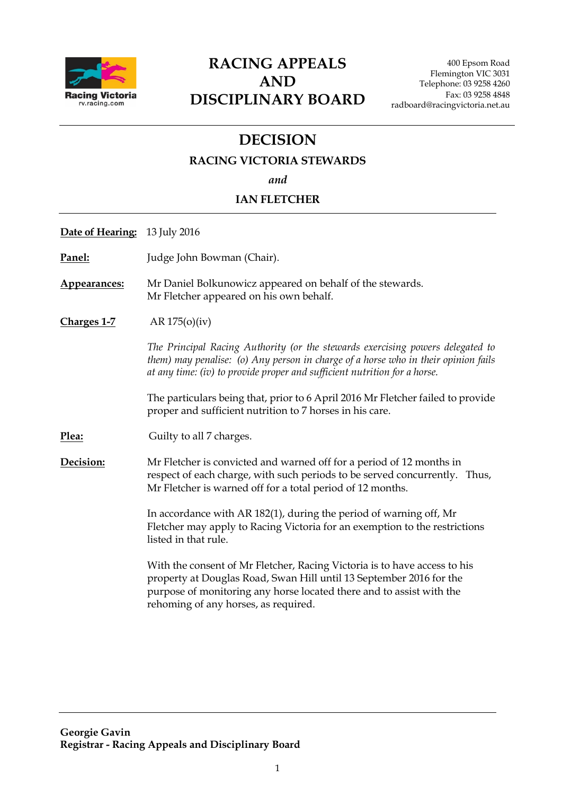

# **RACING APPEALS AND DISCIPLINARY BOARD**

400 Epsom Road Flemington VIC 3031 Telephone: 03 9258 4260 Fax: 03 9258 4848 radboard@racingvictoria.net.au

# **DECISION**

## **RACING VICTORIA STEWARDS**

*and*

## **IAN FLETCHER**

**Date of Hearing:** 13 July 2016

**Panel:** Judge John Bowman (Chair).

**Appearances:** Mr Daniel Bolkunowicz appeared on behalf of the stewards. Mr Fletcher appeared on his own behalf.

**Charges 1-7** AR 175(o)(iv)

*The Principal Racing Authority (or the stewards exercising powers delegated to them) may penalise: (o) Any person in charge of a horse who in their opinion fails at any time: (iv) to provide proper and sufficient nutrition for a horse.*

The particulars being that, prior to 6 April 2016 Mr Fletcher failed to provide proper and sufficient nutrition to 7 horses in his care.

**Plea:** Guilty to all 7 charges.

**Decision:** Mr Fletcher is convicted and warned off for a period of 12 months in respect of each charge, with such periods to be served concurrently. Thus, Mr Fletcher is warned off for a total period of 12 months.

> In accordance with AR 182(1), during the period of warning off, Mr Fletcher may apply to Racing Victoria for an exemption to the restrictions listed in that rule.

With the consent of Mr Fletcher, Racing Victoria is to have access to his property at Douglas Road, Swan Hill until 13 September 2016 for the purpose of monitoring any horse located there and to assist with the rehoming of any horses, as required.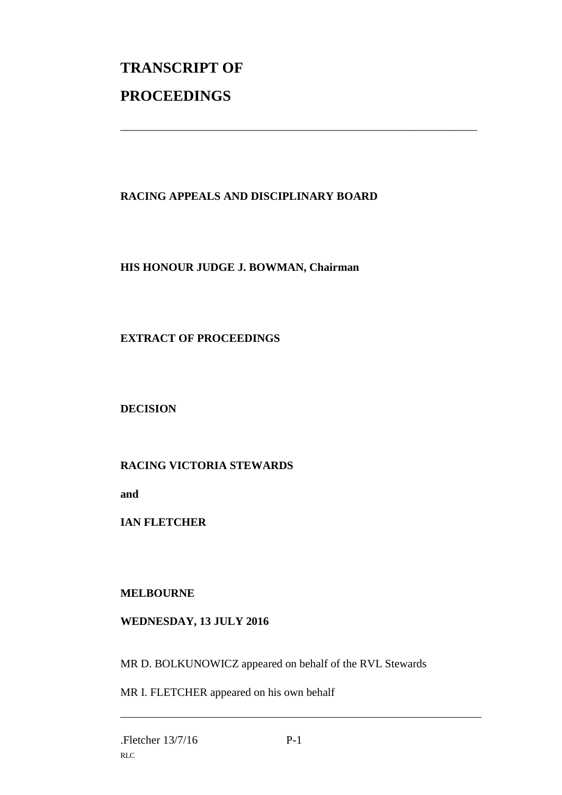# **TRANSCRIPT OF PROCEEDINGS**

# **RACING APPEALS AND DISCIPLINARY BOARD**

\_\_\_\_\_\_\_\_\_\_\_\_\_\_\_\_\_\_\_\_\_\_\_\_\_\_\_\_\_\_\_\_\_\_\_\_\_\_\_\_\_\_\_\_\_\_\_\_\_\_\_\_\_\_\_\_\_\_\_\_\_\_\_

# **HIS HONOUR JUDGE J. BOWMAN, Chairman**

# **EXTRACT OF PROCEEDINGS**

**DECISION**

# **RACING VICTORIA STEWARDS**

**and** 

**IAN FLETCHER**

### **MELBOURNE**

### **WEDNESDAY, 13 JULY 2016**

MR D. BOLKUNOWICZ appeared on behalf of the RVL Stewards

MR I. FLETCHER appeared on his own behalf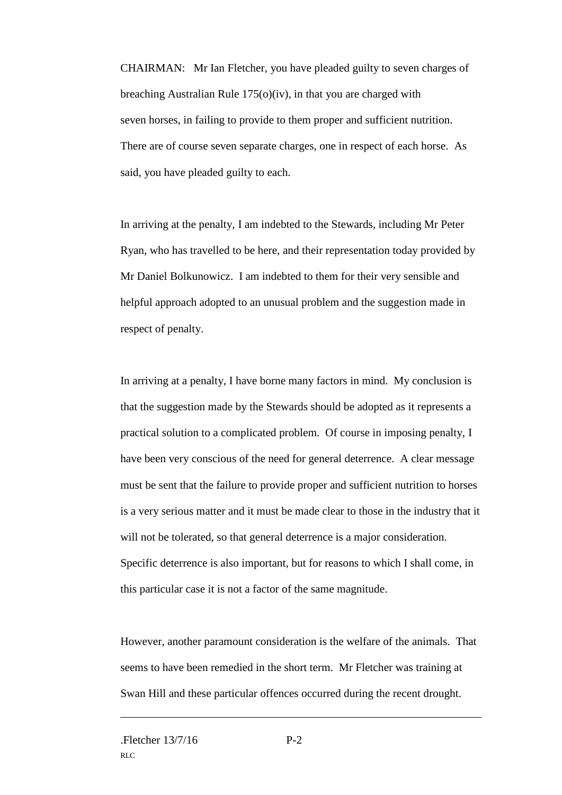CHAIRMAN: Mr Ian Fletcher, you have pleaded guilty to seven charges of breaching Australian Rule 175(o)(iv), in that you are charged with seven horses, in failing to provide to them proper and sufficient nutrition. There are of course seven separate charges, one in respect of each horse. As said, you have pleaded guilty to each.

In arriving at the penalty, I am indebted to the Stewards, including Mr Peter Ryan, who has travelled to be here, and their representation today provided by Mr Daniel Bolkunowicz. I am indebted to them for their very sensible and helpful approach adopted to an unusual problem and the suggestion made in respect of penalty.

In arriving at a penalty, I have borne many factors in mind. My conclusion is that the suggestion made by the Stewards should be adopted as it represents a practical solution to a complicated problem. Of course in imposing penalty, I have been very conscious of the need for general deterrence. A clear message must be sent that the failure to provide proper and sufficient nutrition to horses is a very serious matter and it must be made clear to those in the industry that it will not be tolerated, so that general deterrence is a major consideration. Specific deterrence is also important, but for reasons to which I shall come, in this particular case it is not a factor of the same magnitude.

However, another paramount consideration is the welfare of the animals. That seems to have been remedied in the short term. Mr Fletcher was training at Swan Hill and these particular offences occurred during the recent drought.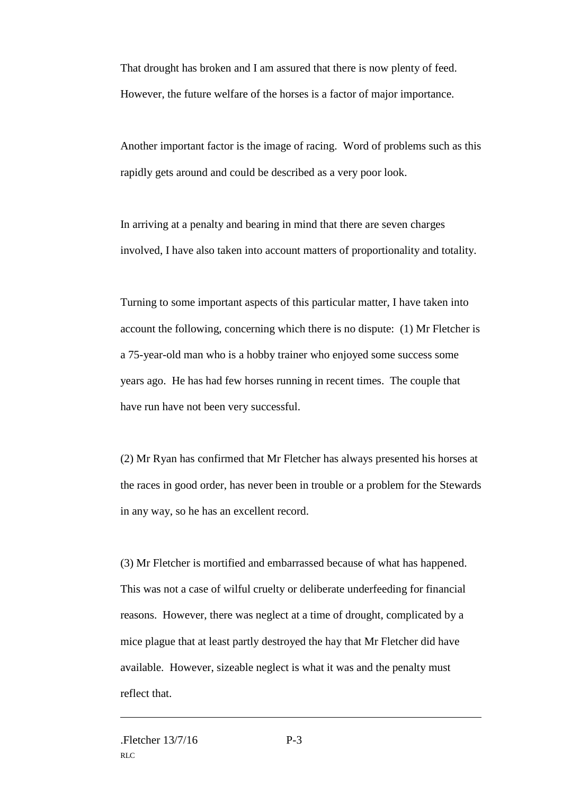That drought has broken and I am assured that there is now plenty of feed. However, the future welfare of the horses is a factor of major importance.

Another important factor is the image of racing. Word of problems such as this rapidly gets around and could be described as a very poor look.

In arriving at a penalty and bearing in mind that there are seven charges involved, I have also taken into account matters of proportionality and totality.

Turning to some important aspects of this particular matter, I have taken into account the following, concerning which there is no dispute: (1) Mr Fletcher is a 75-year-old man who is a hobby trainer who enjoyed some success some years ago. He has had few horses running in recent times. The couple that have run have not been very successful.

(2) Mr Ryan has confirmed that Mr Fletcher has always presented his horses at the races in good order, has never been in trouble or a problem for the Stewards in any way, so he has an excellent record.

(3) Mr Fletcher is mortified and embarrassed because of what has happened. This was not a case of wilful cruelty or deliberate underfeeding for financial reasons. However, there was neglect at a time of drought, complicated by a mice plague that at least partly destroyed the hay that Mr Fletcher did have available. However, sizeable neglect is what it was and the penalty must reflect that.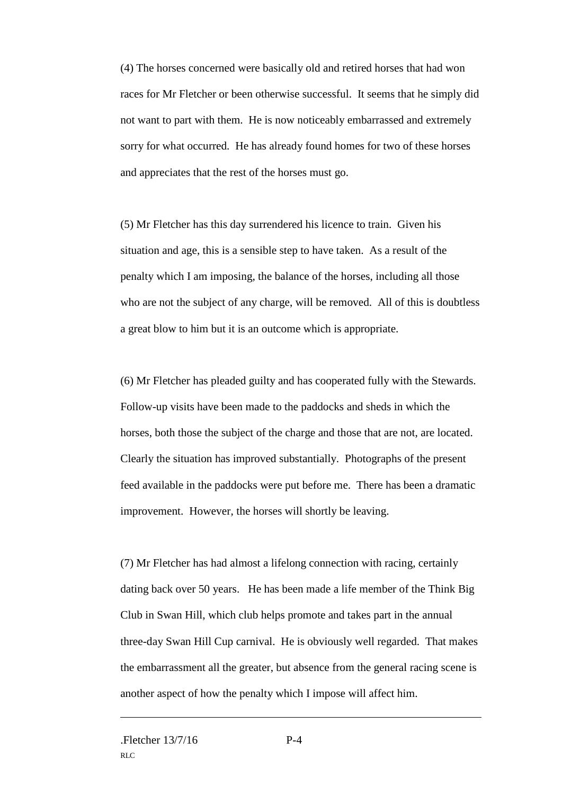(4) The horses concerned were basically old and retired horses that had won races for Mr Fletcher or been otherwise successful. It seems that he simply did not want to part with them. He is now noticeably embarrassed and extremely sorry for what occurred. He has already found homes for two of these horses and appreciates that the rest of the horses must go.

(5) Mr Fletcher has this day surrendered his licence to train. Given his situation and age, this is a sensible step to have taken. As a result of the penalty which I am imposing, the balance of the horses, including all those who are not the subject of any charge, will be removed. All of this is doubtless a great blow to him but it is an outcome which is appropriate.

(6) Mr Fletcher has pleaded guilty and has cooperated fully with the Stewards. Follow-up visits have been made to the paddocks and sheds in which the horses, both those the subject of the charge and those that are not, are located. Clearly the situation has improved substantially. Photographs of the present feed available in the paddocks were put before me. There has been a dramatic improvement. However, the horses will shortly be leaving.

(7) Mr Fletcher has had almost a lifelong connection with racing, certainly dating back over 50 years. He has been made a life member of the Think Big Club in Swan Hill, which club helps promote and takes part in the annual three-day Swan Hill Cup carnival. He is obviously well regarded. That makes the embarrassment all the greater, but absence from the general racing scene is another aspect of how the penalty which I impose will affect him.